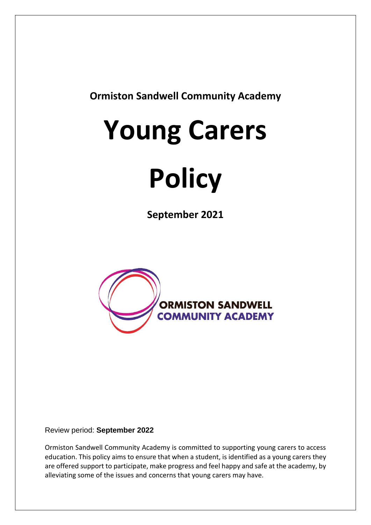**Ormiston Sandwell Community Academy**

## **Young Carers**

# **Policy**

**September 2021**



#### Review period: **September 2022**

Ormiston Sandwell Community Academy is committed to supporting young carers to access education. This policy aims to ensure that when a student, is identified as a young carers they are offered support to participate, make progress and feel happy and safe at the academy, by alleviating some of the issues and concerns that young carers may have.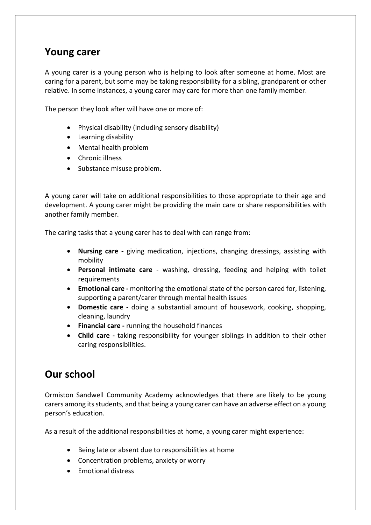#### **Young carer**

A young carer is a young person who is helping to look after someone at home. Most are caring for a parent, but some may be taking responsibility for a sibling, grandparent or other relative. In some instances, a young carer may care for more than one family member.

The person they look after will have one or more of:

- Physical disability (including sensory disability)
- Learning disability
- Mental health problem
- Chronic illness
- Substance misuse problem.

A young carer will take on additional responsibilities to those appropriate to their age and development. A young carer might be providing the main care or share responsibilities with another family member.

The caring tasks that a young carer has to deal with can range from:

- **Nursing care -** giving medication, injections, changing dressings, assisting with mobility
- **Personal intimate care**  washing, dressing, feeding and helping with toilet requirements
- **Emotional care -** monitoring the emotional state of the person cared for, listening, supporting a parent/carer through mental health issues
- **Domestic care -** doing a substantial amount of housework, cooking, shopping, cleaning, laundry
- **Financial care -** running the household finances
- **Child care -** taking responsibility for younger siblings in addition to their other caring responsibilities.

### **Our school**

Ormiston Sandwell Community Academy acknowledges that there are likely to be young carers among its students, and that being a young carer can have an adverse effect on a young person's education.

As a result of the additional responsibilities at home, a young carer might experience:

- Being late or absent due to responsibilities at home
- Concentration problems, anxiety or worry
- Emotional distress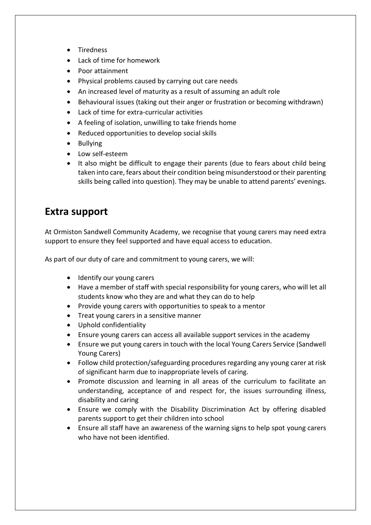- Tiredness
- Lack of time for homework
- Poor attainment
- Physical problems caused by carrying out care needs
- An increased level of maturity as a result of assuming an adult role
- Behavioural issues (taking out their anger or frustration or becoming withdrawn)
- Lack of time for extra-curricular activities
- A feeling of isolation, unwilling to take friends home
- Reduced opportunities to develop social skills
- Bullying
- Low self-esteem
- It also might be difficult to engage their parents (due to fears about child being taken into care, fears about their condition being misunderstood or their parenting skills being called into question). They may be unable to attend parents' evenings.

#### **Extra support**

At Ormiston Sandwell Community Academy, we recognise that young carers may need extra support to ensure they feel supported and have equal access to education.

As part of our duty of care and commitment to young carers, we will:

- Identify our young carers
- Have a member of staff with special responsibility for young carers, who will let all students know who they are and what they can do to help
- Provide young carers with opportunities to speak to a mentor
- Treat young carers in a sensitive manner
- Uphold confidentiality
- Ensure young carers can access all available support services in the academy
- Ensure we put young carers in touch with the local Young Carers Service (Sandwell Young Carers)
- Follow child protection/safeguarding procedures regarding any young carer at risk of significant harm due to inappropriate levels of caring.
- Promote discussion and learning in all areas of the curriculum to facilitate an understanding, acceptance of and respect for, the issues surrounding illness, disability and caring
- Ensure we comply with the Disability Discrimination Act by offering disabled parents support to get their children into school
- Ensure all staff have an awareness of the warning signs to help spot young carers who have not been identified.